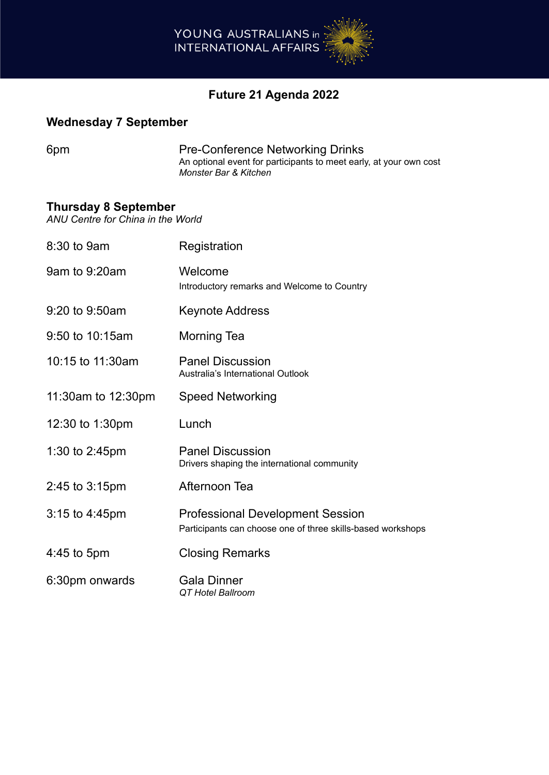

# **Future 21 Agenda 2022**

## **Wednesday 7 September**

6pm **Pre-Conference Networking Drinks** An optional event for participants to meet early, at your own cost *Monster Bar & Kitchen*

#### **Thursday 8 September**

*ANU Centre for China in the World*

| 8:30 to 9am              | Registration                                                                                           |
|--------------------------|--------------------------------------------------------------------------------------------------------|
| 9am to 9:20am            | Welcome<br>Introductory remarks and Welcome to Country                                                 |
| 9:20 to 9:50am           | <b>Keynote Address</b>                                                                                 |
| 9:50 to 10:15am          | <b>Morning Tea</b>                                                                                     |
| 10:15 to 11:30am         | <b>Panel Discussion</b><br>Australia's International Outlook                                           |
| 11:30am to 12:30pm       | <b>Speed Networking</b>                                                                                |
| 12:30 to 1:30pm          | Lunch                                                                                                  |
| 1:30 to $2:45 \text{pm}$ | <b>Panel Discussion</b><br>Drivers shaping the international community                                 |
| 2:45 to 3:15pm           | Afternoon Tea                                                                                          |
| $3:15$ to $4:45$ pm      | <b>Professional Development Session</b><br>Participants can choose one of three skills-based workshops |
| $4:45$ to 5pm            | <b>Closing Remarks</b>                                                                                 |
| 6:30pm onwards           | <b>Gala Dinner</b><br>QT Hotel Ballroom                                                                |